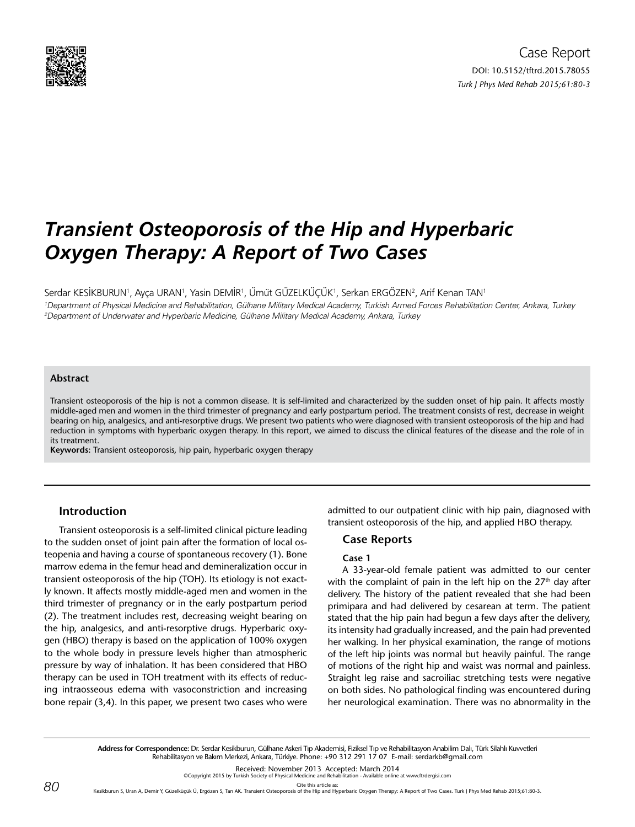

# *Transient Osteoporosis of the Hip and Hyperbaric Oxygen Therapy: A Report of Two Cases*

Serdar KESİKBURUN', Ayça URAN', Yasin DEMİR', Ümüt GÜZELKÜÇÜK', Serkan ERGÖZEN<sup>2</sup>, Arif Kenan TAN' 1 Department of Physical Medicine and Rehabilitation, Gülhane Military Medical Academy, Turkish Armed Forces Rehabilitation Center, Ankara, Turkey 2 Department of Underwater and Hyperbaric Medicine, Gülhane Military Medical Academy, Ankara, Turkey

## **Abstract**

Transient osteoporosis of the hip is not a common disease. It is self-limited and characterized by the sudden onset of hip pain. It affects mostly middle-aged men and women in the third trimester of pregnancy and early postpartum period. The treatment consists of rest, decrease in weight bearing on hip, analgesics, and anti-resorptive drugs. We present two patients who were diagnosed with transient osteoporosis of the hip and had reduction in symptoms with hyperbaric oxygen therapy. In this report, we aimed to discuss the clinical features of the disease and the role of in its treatment.

**Keywords:** Transient osteoporosis, hip pain, hyperbaric oxygen therapy

# **Introduction**

Transient osteoporosis is a self-limited clinical picture leading to the sudden onset of joint pain after the formation of local osteopenia and having a course of spontaneous recovery (1). Bone marrow edema in the femur head and demineralization occur in transient osteoporosis of the hip (TOH). Its etiology is not exactly known. It affects mostly middle-aged men and women in the third trimester of pregnancy or in the early postpartum period (2). The treatment includes rest, decreasing weight bearing on the hip, analgesics, and anti-resorptive drugs. Hyperbaric oxygen (HBO) therapy is based on the application of 100% oxygen to the whole body in pressure levels higher than atmospheric pressure by way of inhalation. It has been considered that HBO therapy can be used in TOH treatment with its effects of reducing intraosseous edema with vasoconstriction and increasing bone repair (3,4). In this paper, we present two cases who were

admitted to our outpatient clinic with hip pain, diagnosed with transient osteoporosis of the hip, and applied HBO therapy.

# **Case Reports**

# **Case 1**

A 33-year-old female patient was admitted to our center with the complaint of pain in the left hip on the  $27<sup>th</sup>$  day after delivery. The history of the patient revealed that she had been primipara and had delivered by cesarean at term. The patient stated that the hip pain had begun a few days after the delivery, its intensity had gradually increased, and the pain had prevented her walking. In her physical examination, the range of motions of the left hip joints was normal but heavily painful. The range of motions of the right hip and waist was normal and painless. Straight leg raise and sacroiliac stretching tests were negative on both sides. No pathological finding was encountered during her neurological examination. There was no abnormality in the

Received: November 2013 Accepted: March 2014<br>Turkish Society of Physical Medicine and Rehabilitation - Available online at www.ftrdergisi.com

©Copyright 2015 by Turkish Society of Physical Medicine and Rehal Cite this article as:

Kesikburun S, Uran A, Demir Y, Güzelküçük Ü, Ergözen S, Tan AK. Transient Osteoporosis of the Hip and Hyperbaric Oxygen Therapy: A Report of Two Cases. Turk J Phys Med Rehab 2015;61:80-3.

**Address for Correspondence:** Dr. Serdar Kesikburun, Gülhane Askeri Tıp Akademisi, Fiziksel Tıp ve Rehabilitasyon Anabilim Dalı, Türk Silahlı Kuvvetleri Rehabilitasyon ve Bakım Merkezi, Ankara, Türkiye. Phone: +90 312 291 17 07 E-mail: serdarkb@gmail.com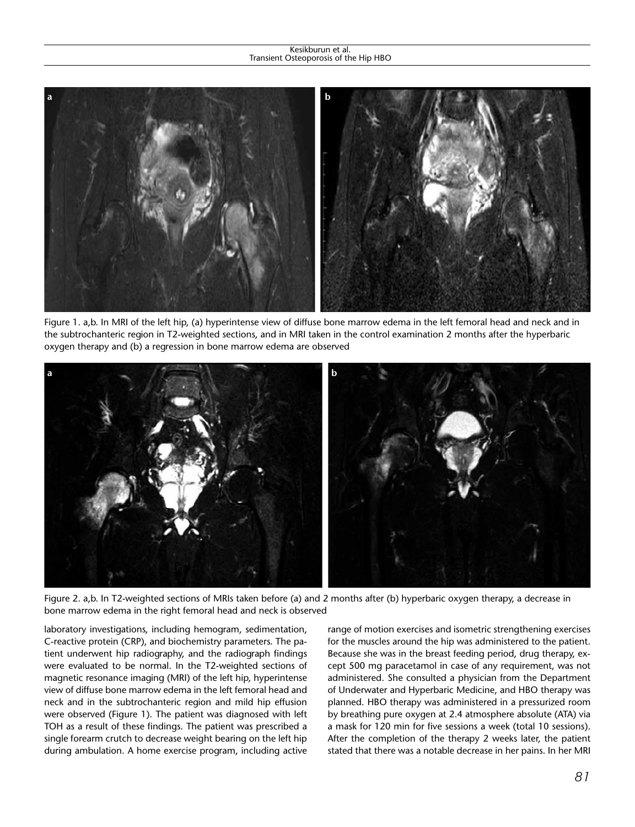#### Kesikburun et al. Transient Osteoporosis of the Hip HBO



Figure 1. a,b. In MRI of the left hip, (a) hyperintense view of diffuse bone marrow edema in the left femoral head and neck and in the subtrochanteric region in T2-weighted sections, and in MRI taken in the control examination 2 months after the hyperbaric oxygen therapy and (b) a regression in bone marrow edema are observed



Figure 2. a,b. In T2-weighted sections of MRIs taken before (a) and 2 months after (b) hyperbaric oxygen therapy, a decrease in bone marrow edema in the right femoral head and neck is observed

laboratory investigations, including hemogram, sedimentation, C-reactive protein (CRP), and biochemistry parameters. The patient underwent hip radiography, and the radiograph findings were evaluated to be normal. In the T2-weighted sections of magnetic resonance imaging (MRI) of the left hip, hyperintense view of diffuse bone marrow edema in the left femoral head and neck and in the subtrochanteric region and mild hip effusion were observed (Figure 1). The patient was diagnosed with left TOH as a result of these findings. The patient was prescribed a single forearm crutch to decrease weight bearing on the left hip during ambulation. A home exercise program, including active range of motion exercises and isometric strengthening exercises for the muscles around the hip was administered to the patient. Because she was in the breast feeding period, drug therapy, except 500 mg paracetamol in case of any requirement, was not administered. She consulted a physician from the Department of Underwater and Hyperbaric Medicine, and HBO therapy was planned. HBO therapy was administered in a pressurized room by breathing pure oxygen at 2.4 atmosphere absolute (ATA) via a mask for 120 min for five sessions a week (total 10 sessions). After the completion of the therapy 2 weeks later, the patient stated that there was a notable decrease in her pains. In her MRI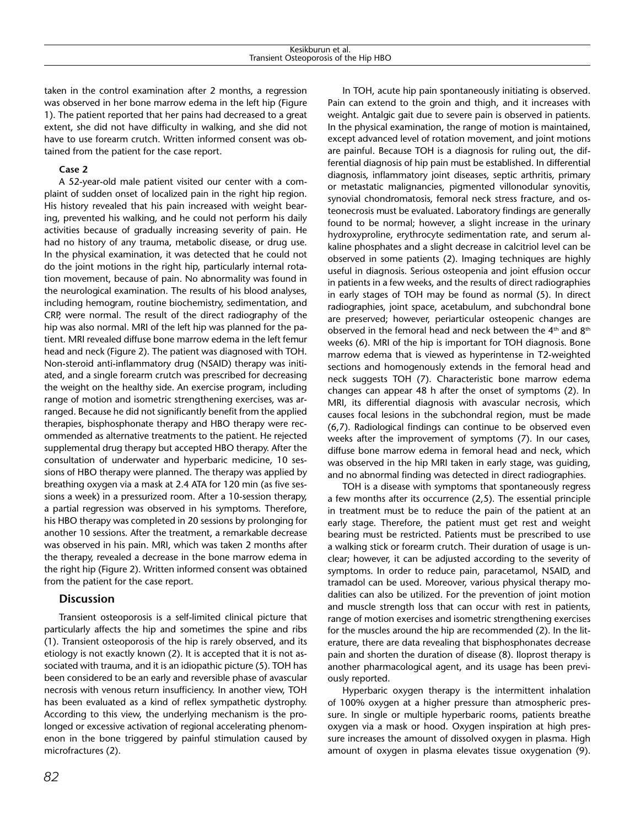taken in the control examination after 2 months, a regression was observed in her bone marrow edema in the left hip (Figure 1). The patient reported that her pains had decreased to a great extent, she did not have difficulty in walking, and she did not have to use forearm crutch. Written informed consent was obtained from the patient for the case report.

# **Case 2**

A 52-year-old male patient visited our center with a complaint of sudden onset of localized pain in the right hip region. His history revealed that his pain increased with weight bearing, prevented his walking, and he could not perform his daily activities because of gradually increasing severity of pain. He had no history of any trauma, metabolic disease, or drug use. In the physical examination, it was detected that he could not do the joint motions in the right hip, particularly internal rotation movement, because of pain. No abnormality was found in the neurological examination. The results of his blood analyses, including hemogram, routine biochemistry, sedimentation, and CRP, were normal. The result of the direct radiography of the hip was also normal. MRI of the left hip was planned for the patient. MRI revealed diffuse bone marrow edema in the left femur head and neck (Figure 2). The patient was diagnosed with TOH. Non-steroid anti-inflammatory drug (NSAID) therapy was initiated, and a single forearm crutch was prescribed for decreasing the weight on the healthy side. An exercise program, including range of motion and isometric strengthening exercises, was arranged. Because he did not significantly benefit from the applied therapies, bisphosphonate therapy and HBO therapy were recommended as alternative treatments to the patient. He rejected supplemental drug therapy but accepted HBO therapy. After the consultation of underwater and hyperbaric medicine, 10 sessions of HBO therapy were planned. The therapy was applied by breathing oxygen via a mask at 2.4 ATA for 120 min (as five sessions a week) in a pressurized room. After a 10-session therapy, a partial regression was observed in his symptoms. Therefore, his HBO therapy was completed in 20 sessions by prolonging for another 10 sessions. After the treatment, a remarkable decrease was observed in his pain. MRI, which was taken 2 months after the therapy, revealed a decrease in the bone marrow edema in the right hip (Figure 2). Written informed consent was obtained from the patient for the case report.

# **Discussion**

Transient osteoporosis is a self-limited clinical picture that particularly affects the hip and sometimes the spine and ribs (1). Transient osteoporosis of the hip is rarely observed, and its etiology is not exactly known (2). It is accepted that it is not associated with trauma, and it is an idiopathic picture (5). TOH has been considered to be an early and reversible phase of avascular necrosis with venous return insufficiency. In another view, TOH has been evaluated as a kind of reflex sympathetic dystrophy. According to this view, the underlying mechanism is the prolonged or excessive activation of regional accelerating phenomenon in the bone triggered by painful stimulation caused by microfractures (2).

In TOH, acute hip pain spontaneously initiating is observed. Pain can extend to the groin and thigh, and it increases with weight. Antalgic gait due to severe pain is observed in patients. In the physical examination, the range of motion is maintained, except advanced level of rotation movement, and joint motions are painful. Because TOH is a diagnosis for ruling out, the differential diagnosis of hip pain must be established. In differential diagnosis, inflammatory joint diseases, septic arthritis, primary or metastatic malignancies, pigmented villonodular synovitis, synovial chondromatosis, femoral neck stress fracture, and osteonecrosis must be evaluated. Laboratory findings are generally found to be normal; however, a slight increase in the urinary hydroxyproline, erythrocyte sedimentation rate, and serum alkaline phosphates and a slight decrease in calcitriol level can be observed in some patients (2). Imaging techniques are highly useful in diagnosis. Serious osteopenia and joint effusion occur in patients in a few weeks, and the results of direct radiographies in early stages of TOH may be found as normal (5). In direct radiographies, joint space, acetabulum, and subchondral bone are preserved; however, periarticular osteopenic changes are observed in the femoral head and neck between the  $4<sup>th</sup>$  and  $8<sup>th</sup>$ weeks (6). MRI of the hip is important for TOH diagnosis. Bone marrow edema that is viewed as hyperintense in T2-weighted sections and homogenously extends in the femoral head and neck suggests TOH (7). Characteristic bone marrow edema changes can appear 48 h after the onset of symptoms (2). In MRI, its differential diagnosis with avascular necrosis, which causes focal lesions in the subchondral region, must be made (6,7). Radiological findings can continue to be observed even weeks after the improvement of symptoms (7). In our cases, diffuse bone marrow edema in femoral head and neck, which was observed in the hip MRI taken in early stage, was guiding, and no abnormal finding was detected in direct radiographies.

TOH is a disease with symptoms that spontaneously regress a few months after its occurrence (2,5). The essential principle in treatment must be to reduce the pain of the patient at an early stage. Therefore, the patient must get rest and weight bearing must be restricted. Patients must be prescribed to use a walking stick or forearm crutch. Their duration of usage is unclear; however, it can be adjusted according to the severity of symptoms. In order to reduce pain, paracetamol, NSAID, and tramadol can be used. Moreover, various physical therapy modalities can also be utilized. For the prevention of joint motion and muscle strength loss that can occur with rest in patients, range of motion exercises and isometric strengthening exercises for the muscles around the hip are recommended (2). In the literature, there are data revealing that bisphosphonates decrease pain and shorten the duration of disease (8). Iloprost therapy is another pharmacological agent, and its usage has been previously reported.

Hyperbaric oxygen therapy is the intermittent inhalation of 100% oxygen at a higher pressure than atmospheric pressure. In single or multiple hyperbaric rooms, patients breathe oxygen via a mask or hood. Oxygen inspiration at high pressure increases the amount of dissolved oxygen in plasma. High amount of oxygen in plasma elevates tissue oxygenation (9).